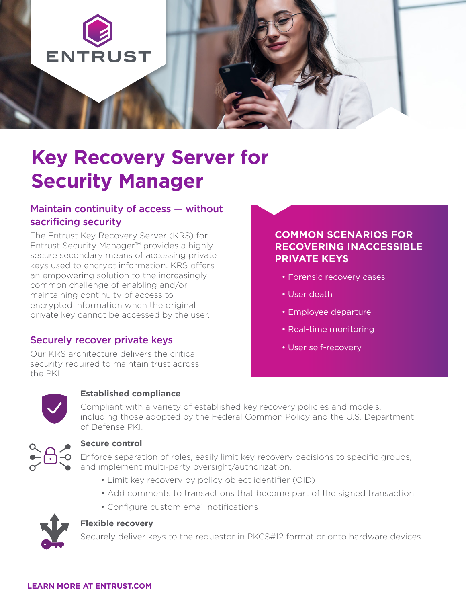

# **Key Recovery Server for Security Manager**

# Maintain continuity of access — without sacrificing security

The Entrust Key Recovery Server (KRS) for Entrust Security Manager™ provides a highly secure secondary means of accessing private keys used to encrypt information. KRS offers an empowering solution to the increasingly common challenge of enabling and/or maintaining continuity of access to encrypted information when the original private key cannot be accessed by the user.

### Securely recover private keys

Our KRS architecture delivers the critical security required to maintain trust across the PKI.

# **COMMON SCENARIOS FOR RECOVERING INACCESSIBLE PRIVATE KEYS**

- Forensic recovery cases
- User death
- Employee departure
- Real-time monitoring
- User self-recovery



#### **Established compliance**

Compliant with a variety of established key recovery policies and models, including those adopted by the Federal Common Policy and the U.S. Department of Defense PKI.



#### **Secure control**

Enforce separation of roles, easily limit key recovery decisions to specific groups, and implement multi-party oversight/authorization.

- Limit key recovery by policy object identifier (OID)
- Add comments to transactions that become part of the signed transaction
- Configure custom email notifications



#### **Flexible recovery**

Securely deliver keys to the requestor in PKCS#12 format or onto hardware devices.